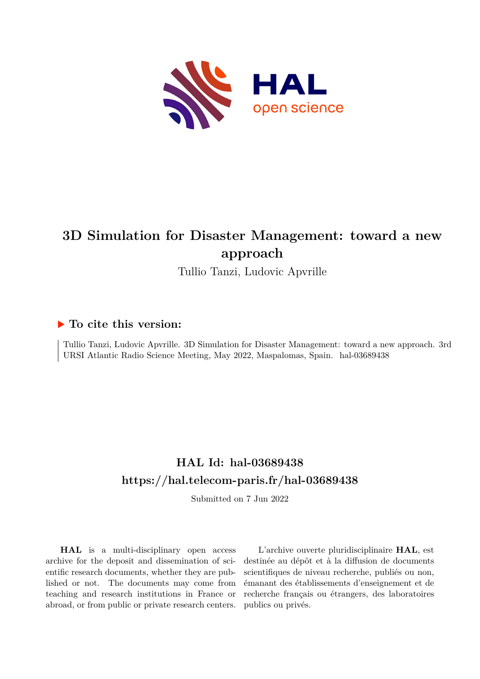

# **3D Simulation for Disaster Management: toward a new approach**

Tullio Tanzi, Ludovic Apvrille

### **To cite this version:**

Tullio Tanzi, Ludovic Apvrille. 3D Simulation for Disaster Management: toward a new approach. 3rd URSI Atlantic Radio Science Meeting, May 2022, Maspalomas, Spain. hal-03689438

## **HAL Id: hal-03689438 <https://hal.telecom-paris.fr/hal-03689438>**

Submitted on 7 Jun 2022

**HAL** is a multi-disciplinary open access archive for the deposit and dissemination of scientific research documents, whether they are published or not. The documents may come from teaching and research institutions in France or abroad, or from public or private research centers.

L'archive ouverte pluridisciplinaire **HAL**, est destinée au dépôt et à la diffusion de documents scientifiques de niveau recherche, publiés ou non, émanant des établissements d'enseignement et de recherche français ou étrangers, des laboratoires publics ou privés.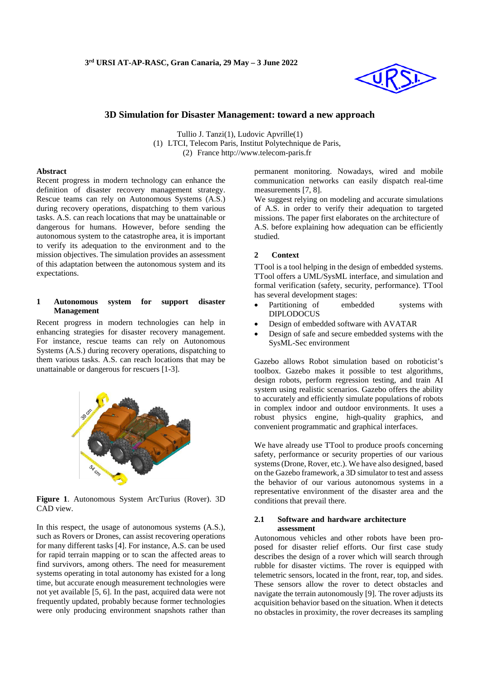

#### **3D Simulation for Disaster Management: toward a new approach**

Tullio J. Tanzi(1), Ludovic Apvrille(1) (1) LTCI, Telecom Paris, Institut Polytechnique de Paris, (2) France http://www.telecom-paris.fr

#### **Abstract**

Recent progress in modern technology can enhance the definition of disaster recovery management strategy. Rescue teams can rely on Autonomous Systems (A.S.) during recovery operations, dispatching to them various tasks. A.S. can reach locations that may be unattainable or dangerous for humans. However, before sending the autonomous system to the catastrophe area, it is important to verify its adequation to the environment and to the mission objectives. The simulation provides an assessment of this adaptation between the autonomous system and its expectations.

#### **1 Autonomous system for support disaster Management**

Recent progress in modern technologies can help in enhancing strategies for disaster recovery management. For instance, rescue teams can rely on Autonomous Systems (A.S.) during recovery operations, dispatching to them various tasks. A.S. can reach locations that may be unattainable or dangerous for rescuers [1-3].



**Figure 1**. Autonomous System ArcTurius (Rover). 3D CAD view.

In this respect, the usage of autonomous systems (A.S.), such as Rovers or Drones, can assist recovering operations for many different tasks [4]. For instance, A.S. can be used for rapid terrain mapping or to scan the affected areas to find survivors, among others. The need for measurement systems operating in total autonomy has existed for a long time, but accurate enough measurement technologies were not yet available [5, 6]. In the past, acquired data were not frequently updated, probably because former technologies were only producing environment snapshots rather than

permanent monitoring. Nowadays, wired and mobile communication networks can easily dispatch real-time measurements [7, 8].

We suggest relying on modeling and accurate simulations of A.S. in order to verify their adequation to targeted missions. The paper first elaborates on the architecture of A.S. before explaining how adequation can be efficiently studied.

#### **2 Context**

TTool is a tool helping in the design of embedded systems. TTool offers a UML/SysML interface, and simulation and formal verification (safety, security, performance). TTool has several development stages:

- Partitioning of embedded systems with DIPLODOCUS
- Design of embedded software with AVATAR
- Design of safe and secure embedded systems with the SysML-Sec environment

Gazebo allows Robot simulation based on roboticist's toolbox. Gazebo makes it possible to test algorithms, design robots, perform regression testing, and train AI system using realistic scenarios. Gazebo offers the ability to accurately and efficiently simulate populations of robots in complex indoor and outdoor environments. It uses a robust physics engine, high-quality graphics, and convenient programmatic and graphical interfaces.

We have already use TTool to produce proofs concerning safety, performance or security properties of our various systems (Drone, Rover, etc.). We have also designed, based on the Gazebo framework, a 3D simulator to test and assess the behavior of our various autonomous systems in a representative environment of the disaster area and the conditions that prevail there.

#### **2.1 Software and hardware architecture assessment**

Autonomous vehicles and other robots have been proposed for disaster relief efforts. Our first case study describes the design of a rover which will search through rubble for disaster victims. The rover is equipped with telemetric sensors, located in the front, rear, top, and sides. These sensors allow the rover to detect obstacles and navigate the terrain autonomously [9]. The rover adjusts its acquisition behavior based on the situation. When it detects no obstacles in proximity, the rover decreases its sampling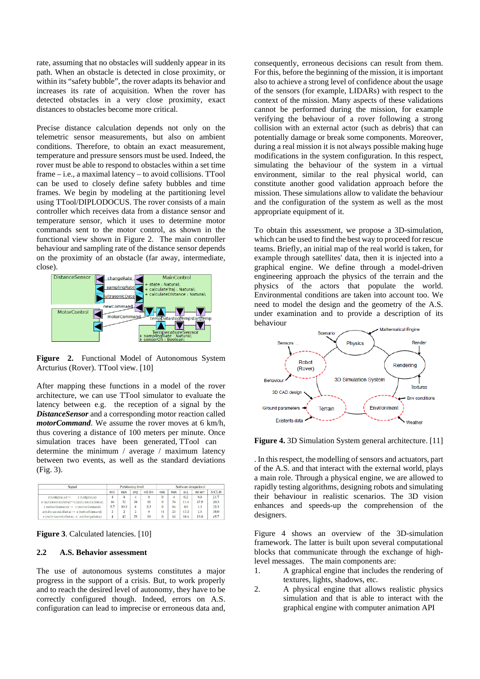rate, assuming that no obstacles will suddenly appear in its path. When an obstacle is detected in close proximity, or within its "safety bubble", the rover adapts its behavior and increases its rate of acquisition. When the rover has detected obstacles in a very close proximity, exact distances to obstacles become more critical.

Precise distance calculation depends not only on the telemetric sensor measurements, but also on ambient conditions. Therefore, to obtain an exact measurement, temperature and pressure sensors must be used. Indeed, the rover must be able to respond to obstacles within a set time frame – i.e., a maximal latency – to avoid collisions. TTool can be used to closely define safety bubbles and time frames. We begin by modeling at the partitioning level using TTool/DIPLODOCUS. The rover consists of a main controller which receives data from a distance sensor and temperature sensor, which it uses to determine motor commands sent to the motor control, as shown in the functional view shown in Figure 2. The main controller behaviour and sampling rate of the distance sensor depends on the proximity of an obstacle (far away, intermediate, close).



**Figure 2.** Functional Model of Autonomous System Arcturius (Rover). TTool view. [10]

After mapping these functions in a model of the rover architecture, we can use TTool simulator to evaluate the latency between e.g. the reception of a signal by the *DistanceSensor* and a corresponding motor reaction called *motorCommand*. We assume the rover moves at 6 km/h, thus covering a distance of 100 meters per minute. Once simulation traces have been generated, TTool can determine the minimum / average / maximum latency between two events, as well as the standard deviations (Fig. 3).

| Signal                                | Partitioning level |      |     |         | Software design level |     |      |         |        |
|---------------------------------------|--------------------|------|-----|---------|-----------------------|-----|------|---------|--------|
|                                       | min                | max  | avg | std dev | min                   | max | avg  | std dev | SoCLib |
| s(tempData)-><br>r(tempData)          |                    |      | 4   |         | 0                     |     | 0.2  | 0.8     | 21.7   |
| s (ultrasonicData)->r(ultrasonicData) | 16                 | 52   | 34  | 18      | o                     | 56  | 11.6 | 17.9    | 20.3   |
| s (motorCommand) -> r (motorCommand)  | 5.7                | 10.3 | 8   | 23      | $\overline{0}$        | 16  | 4.9  | 3.3     | 323    |
| s(ultrasonicData) -> r(motorCommand)  | $\overline{2}$     |      | 2   |         | $^{11}$               | 24  | 13.2 | 2.5     | 38.0   |
| r(rultrasonicData)-> s(changeRate)    |                    | 42   | 23  | 19      | 0                     | 68  | 10.6 | 13.0    | 45.7   |

**Figure 3.** Calculated latencies. [10]

#### **2.2 A.S. Behavior assessment**

The use of autonomous systems constitutes a major progress in the support of a crisis. But, to work properly and to reach the desired level of autonomy, they have to be correctly configured though. Indeed, errors on A.S. configuration can lead to imprecise or erroneous data and,

consequently, erroneous decisions can result from them. For this, before the beginning of the mission, it is important also to achieve a strong level of confidence about the usage of the sensors (for example, LIDARs) with respect to the context of the mission. Many aspects of these validations cannot be performed during the mission, for example verifying the behaviour of a rover following a strong collision with an external actor (such as debris) that can potentially damage or break some components. Moreover, during a real mission it is not always possible making huge modifications in the system configuration. In this respect, simulating the behaviour of the system in a virtual environment, similar to the real physical world, can constitute another good validation approach before the mission. These simulations allow to validate the behaviour and the configuration of the system as well as the most appropriate equipment of it.

To obtain this assessment, we propose a 3D-simulation, which can be used to find the best way to proceed for rescue teams. Briefly, an initial map of the real world is taken, for example through satellites' data, then it is injected into a graphical engine. We define through a model-driven engineering approach the physics of the terrain and the physics of the actors that populate the world. Environmental conditions are taken into account too. We need to model the design and the geometry of the A.S. under examination and to provide a description of its behaviour



**Figure 4.** 3D Simulation System general architecture. [11]

. In this respect, the modelling of sensors and actuators, part of the A.S. and that interact with the external world, plays a main role. Through a physical engine, we are allowed to rapidly testing algorithms, designing robots and simulating their behaviour in realistic scenarios. The 3D vision enhances and speeds-up the comprehension of the designers.

Figure 4 shows an overview of the 3D-simulation framework. The latter is built upon several computational blocks that communicate through the exchange of highlevel messages. The main components are:

- 1. A graphical engine that includes the rendering of textures, lights, shadows, etc.
- 2. A physical engine that allows realistic physics simulation and that is able to interact with the graphical engine with computer animation API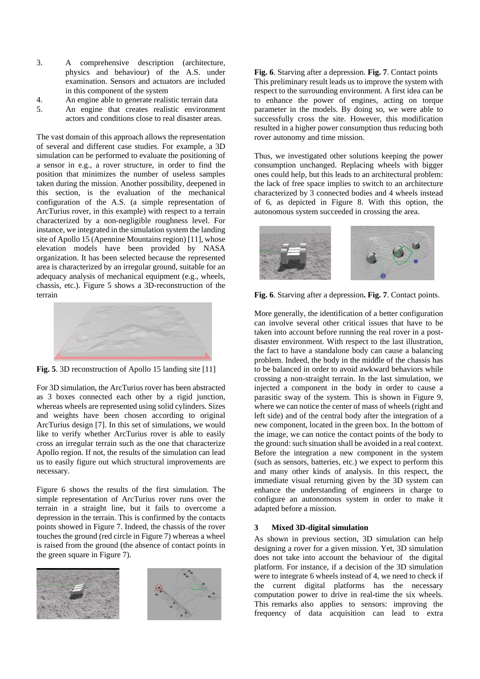- 3. A comprehensive description (architecture, physics and behaviour) of the A.S. under examination. Sensors and actuators are included in this component of the system
- 4. An engine able to generate realistic terrain data
- 5. An engine that creates realistic environment actors and conditions close to real disaster areas.

The vast domain of this approach allows the representation of several and different case studies. For example, a 3D simulation can be performed to evaluate the positioning of a sensor in e.g., a rover structure, in order to find the position that minimizes the number of useless samples taken during the mission. Another possibility, deepened in this section, is the evaluation of the mechanical configuration of the A.S. (a simple representation of ArcTurius rover, in this example) with respect to a terrain characterized by a non-negligible roughness level. For instance, we integrated in the simulation system the landing site of Apollo 15 (Apennine Mountains region) [11], whose elevation models have been provided by NASA organization. It has been selected because the represented area is characterized by an irregular ground, suitable for an adequacy analysis of mechanical equipment (e.g., wheels, chassis, etc.). Figure 5 shows a 3D-reconstruction of the terrain



**Fig. 5**. 3D reconstruction of Apollo 15 landing site [11]

For 3D simulation, the ArcTurius rover has been abstracted as 3 boxes connected each other by a rigid junction, whereas wheels are represented using solid cylinders. Sizes and weights have been chosen according to original ArcTurius design [7]. In this set of simulations, we would like to verify whether ArcTurius rover is able to easily cross an irregular terrain such as the one that characterize Apollo region. If not, the results of the simulation can lead us to easily figure out which structural improvements are necessary.

Figure 6 shows the results of the first simulation. The simple representation of ArcTurius rover runs over the terrain in a straight line, but it fails to overcome a depression in the terrain. This is confirmed by the contacts points showed in Figure 7. Indeed, the chassis of the rover touches the ground (red circle in Figure 7) whereas a wheel is raised from the ground (the absence of contact points in the green square in Figure 7).





**Fig. 6**. Starving after a depression. **Fig. 7**. Contact points This preliminary result leads us to improve the system with respect to the surrounding environment. A first idea can be to enhance the power of engines, acting on torque parameter in the models. By doing so, we were able to successfully cross the site. However, this modification resulted in a higher power consumption thus reducing both rover autonomy and time mission.

Thus, we investigated other solutions keeping the power consumption unchanged. Replacing wheels with bigger ones could help, but this leads to an architectural problem: the lack of free space implies to switch to an architecture characterized by 3 connected bodies and 4 wheels instead of 6, as depicted in Figure 8. With this option, the autonomous system succeeded in crossing the area.



**Fig. 6**. Starving after a depression**. Fig. 7**. Contact points.

More generally, the identification of a better configuration can involve several other critical issues that have to be taken into account before running the real rover in a postdisaster environment. With respect to the last illustration, the fact to have a standalone body can cause a balancing problem. Indeed, the body in the middle of the chassis has to be balanced in order to avoid awkward behaviors while crossing a non-straight terrain. In the last simulation, we injected a component in the body in order to cause a parasitic sway of the system. This is shown in Figure 9, where we can notice the center of mass of wheels (right and left side) and of the central body after the integration of a new component, located in the green box. In the bottom of the image, we can notice the contact points of the body to the ground: such situation shall be avoided in a real context. Before the integration a new component in the system (such as sensors, batteries, etc.) we expect to perform this and many other kinds of analysis. In this respect, the immediate visual returning given by the 3D system can enhance the understanding of engineers in charge to configure an autonomous system in order to make it adapted before a mission.

#### **3 Mixed 3D-digital simulation**

As shown in previous section, 3D simulation can help designing a rover for a given mission. Yet, 3D simulation does not take into account the behaviour of the digital platform. For instance, if a decision of the 3D simulation were to integrate 6 wheels instead of 4, we need to check if the current digital platforms has the necessary computation power to drive in real-time the six wheels. This remarks also applies to sensors: improving the frequency of data acquisition can lead to extra